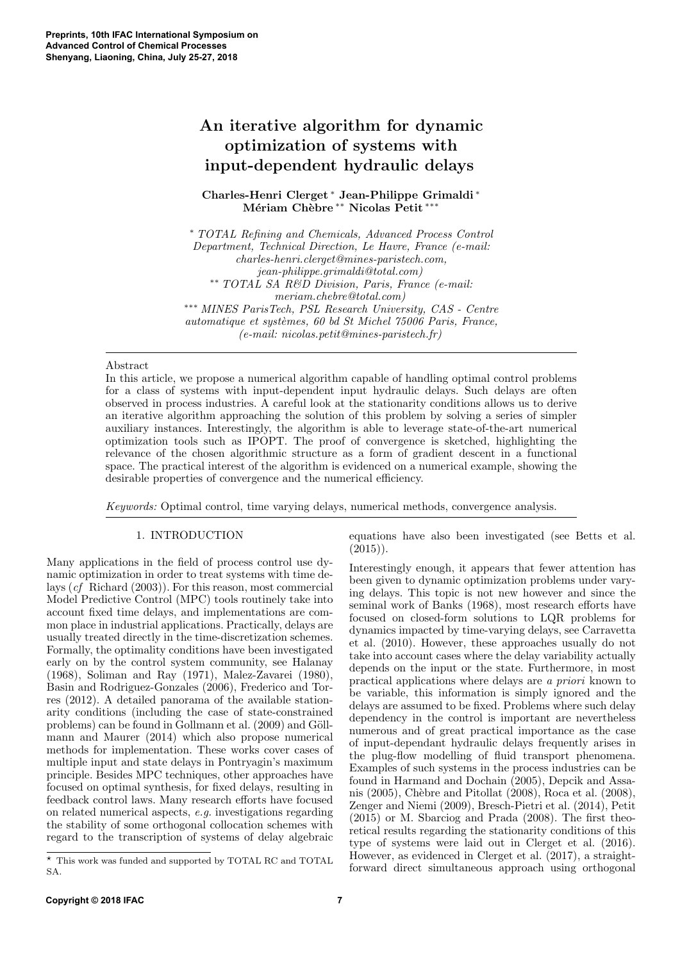# An iterative algorithm for dynamic optimization of systems with input-dependent hydraulic delays

Charles-Henri Clerget <sup>∗</sup> Jean-Philippe Grimaldi <sup>∗</sup> Mériam Chèbre <sup>∗∗</sup> Nicolas Petit <sup>∗∗</sup>'

<sup>∗</sup> TOTAL Refining and Chemicals, Advanced Process Control Department, Technical Direction, Le Havre, France (e-mail: charles-henri.clerget@mines-paristech.com, jean-philippe.grimaldi@total.com) ∗∗ TOTAL SA R&D Division, Paris, France (e-mail: meriam.chebre@total.com) ∗∗∗ MINES ParisTech, PSL Research University, CAS - Centre automatique et systèmes, 60 bd St Michel 75006 Paris, France, (e-mail: nicolas.petit@mines-paristech.fr)

### Abstract

In this article, we propose a numerical algorithm capable of handling optimal control problems for a class of systems with input-dependent input hydraulic delays. Such delays are often observed in process industries. A careful look at the stationarity conditions allows us to derive an iterative algorithm approaching the solution of this problem by solving a series of simpler auxiliary instances. Interestingly, the algorithm is able to leverage state-of-the-art numerical optimization tools such as IPOPT. The proof of convergence is sketched, highlighting the relevance of the chosen algorithmic structure as a form of gradient descent in a functional space. The practical interest of the algorithm is evidenced on a numerical example, showing the desirable properties of convergence and the numerical efficiency.

Keywords: Optimal control, time varying delays, numerical methods, convergence analysis.

## 1. INTRODUCTION

Many applications in the field of process control use dynamic optimization in order to treat systems with time delays (cf Richard (2003)). For this reason, most commercial Model Predictive Control (MPC) tools routinely take into account fixed time delays, and implementations are common place in industrial applications. Practically, delays are usually treated directly in the time-discretization schemes. Formally, the optimality conditions have been investigated early on by the control system community, see Halanay (1968), Soliman and Ray (1971), Malez-Zavarei (1980), Basin and Rodriguez-Gonzales (2006), Frederico and Torres (2012). A detailed panorama of the available stationarity conditions (including the case of state-constrained problems) can be found in Gollmann et al. (2009) and Göllmann and Maurer (2014) which also propose numerical methods for implementation. These works cover cases of multiple input and state delays in Pontryagin's maximum principle. Besides MPC techniques, other approaches have focused on optimal synthesis, for fixed delays, resulting in feedback control laws. Many research efforts have focused on related numerical aspects, e.g. investigations regarding the stability of some orthogonal collocation schemes with regard to the transcription of systems of delay algebraic

equations have also been investigated (see Betts et al.  $(2015)$ 

Interestingly enough, it appears that fewer attention has been given to dynamic optimization problems under varying delays. This topic is not new however and since the seminal work of Banks (1968), most research efforts have focused on closed-form solutions to LQR problems for dynamics impacted by time-varying delays, see Carravetta et al. (2010). However, these approaches usually do not take into account cases where the delay variability actually depends on the input or the state. Furthermore, in most practical applications where delays are a priori known to be variable, this information is simply ignored and the delays are assumed to be fixed. Problems where such delay dependency in the control is important are nevertheless numerous and of great practical importance as the case of input-dependant hydraulic delays frequently arises in the plug-flow modelling of fluid transport phenomena. Examples of such systems in the process industries can be found in Harmand and Dochain (2005), Depcik and Assanis (2005), Chèbre and Pitollat (2008), Roca et al. (2008), Zenger and Niemi (2009), Bresch-Pietri et al. (2014), Petit (2015) or M. Sbarciog and Prada (2008). The first theoretical results regarding the stationarity conditions of this type of systems were laid out in Clerget et al. (2016). However, as evidenced in Clerget et al. (2017), a straightforward direct simultaneous approach using orthogonal

 $^\star\,$  This work was funded and supported by TOTAL RC and TOTAL SA.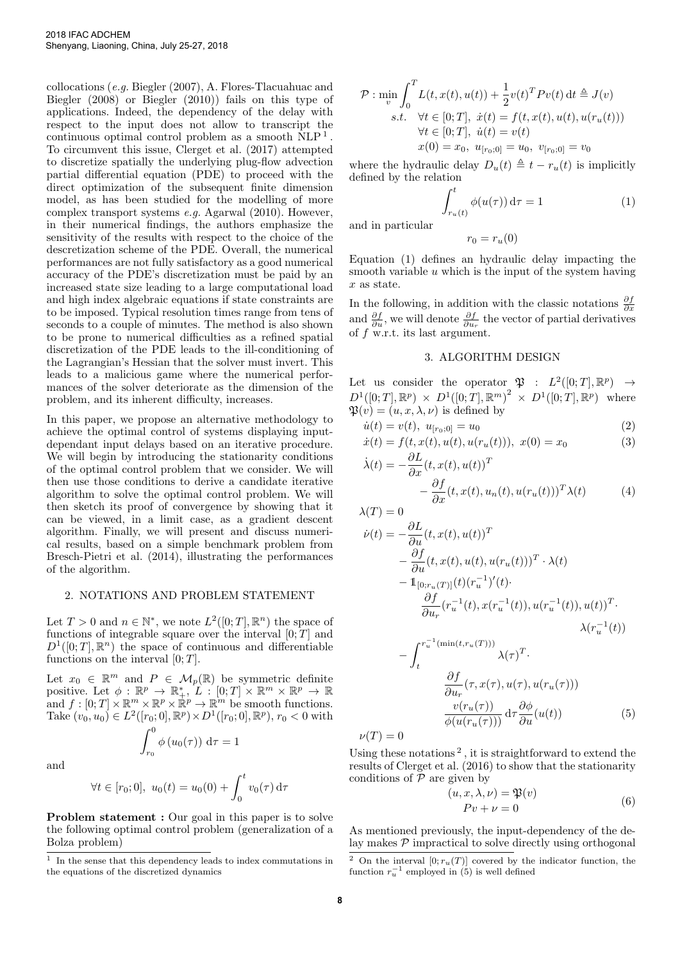collocations (e.g. Biegler (2007), A. Flores-Tlacuahuac and Biegler (2008) or Biegler (2010)) fails on this type of applications. Indeed, the dependency of the delay with respect to the input does not allow to transcript the continuous optimal control problem as a smooth NLP<sup>1</sup>. To circumvent this issue, Clerget et al. (2017) attempted to discretize spatially the underlying plug-flow advection partial differential equation (PDE) to proceed with the direct optimization of the subsequent finite dimension model, as has been studied for the modelling of more complex transport systems e.g. Agarwal (2010). However, in their numerical findings, the authors emphasize the sensitivity of the results with respect to the choice of the descretization scheme of the PDE. Overall, the numerical performances are not fully satisfactory as a good numerical accuracy of the PDE's discretization must be paid by an increased state size leading to a large computational load and high index algebraic equations if state constraints are to be imposed. Typical resolution times range from tens of seconds to a couple of minutes. The method is also shown to be prone to numerical difficulties as a refined spatial discretization of the PDE leads to the ill-conditioning of the Lagrangian's Hessian that the solver must invert. This leads to a malicious game where the numerical performances of the solver deteriorate as the dimension of the problem, and its inherent difficulty, increases.

In this paper, we propose an alternative methodology to achieve the optimal control of systems displaying inputdependant input delays based on an iterative procedure. We will begin by introducing the stationarity conditions of the optimal control problem that we consider. We will then use those conditions to derive a candidate iterative algorithm to solve the optimal control problem. We will then sketch its proof of convergence by showing that it can be viewed, in a limit case, as a gradient descent algorithm. Finally, we will present and discuss numerical results, based on a simple benchmark problem from Bresch-Pietri et al. (2014), illustrating the performances of the algorithm.

#### 2. NOTATIONS AND PROBLEM STATEMENT

Let  $T > 0$  and  $n \in \mathbb{N}^*$ , we note  $L^2([0; T], \mathbb{R}^n)$  the space of functions of integrable square over the interval  $[0; T]$  and  $D^1([0;T],\mathbb{R}^n)$  the space of continuous and differentiable functions on the interval  $[0; T]$ .

Let  $x_0 \in \mathbb{R}^m$  and  $P \in \mathcal{M}_p(\mathbb{R})$  be symmetric definite positive. Let  $\phi : \mathbb{R}^p \to \mathbb{R}_+^*, \hat{L} : [0;T] \times \mathbb{R}^m \times \mathbb{R}^p \to \mathbb{R}$ and  $f: [0; T] \times \mathbb{R}^m \times \mathbb{R}^p \times \mathbb{R}^p \to \mathbb{R}^m$  be smooth functions. Take  $(v_0, u_0) \in L^2([r_0; 0], \mathbb{R}^p) \times D^1([r_0; 0], \mathbb{R}^p)$ ,  $r_0 < 0$  with

$$
\int_{r_0}^0 \phi(u_0(\tau)) \, d\tau = 1
$$

and

$$
\forall t \in [r_0; 0], \ u_0(t) = u_0(0) + \int_0^t v_0(\tau) d\tau
$$

Problem statement : Our goal in this paper is to solve the following optimal control problem (generalization of a Bolza problem)

$$
\mathcal{P}: \min_{v} \int_{0}^{T} L(t, x(t), u(t)) + \frac{1}{2} v(t)^{T} P v(t) dt \triangleq J(v)
$$
  
s.t.  $\forall t \in [0; T], \dot{x}(t) = f(t, x(t), u(t), u(r_u(t)))$   
 $\forall t \in [0; T], \dot{u}(t) = v(t)$   
 $x(0) = x_0, u_{[r_0;0]} = u_0, v_{[r_0;0]} = v_0$ 

where the hydraulic delay  $D_u(t) \triangleq t - r_u(t)$  is implicitly defined by the relation

$$
\int_{r_u(t)}^t \phi(u(\tau)) d\tau = 1 \tag{1}
$$

and in particular

 $r_0 = r_u(0)$ 

Equation (1) defines an hydraulic delay impacting the smooth variable  $u$  which is the input of the system having x as state.

In the following, in addition with the classic notations  $\frac{\partial f}{\partial x}$ and  $\frac{\partial f}{\partial u}$ , we will denote  $\frac{\partial f}{\partial u_r}$  the vector of partial derivatives of f w.r.t. its last argument.

## 3. ALGORITHM DESIGN

Let us consider the operator  $\mathfrak{P}$  :  $L^2([0;T], \mathbb{R}^p) \rightarrow$  $D^1([0;T], \mathbb{R}^p) \times D^1([0;T], \mathbb{R}^m)^2 \times D^1([0;T], \mathbb{R}^p)$  where  $\mathfrak{P}(v) = (u, x, \lambda, \nu)$  is defined by

$$
\dot{u}(t) = v(t), \ u_{[r_0;0]} = u_0 \tag{2}
$$

$$
\dot{x}(t) = f(t, x(t), u(t), u(r_u(t))), \ x(0) = x_0 \tag{3}
$$

$$
\dot{\lambda}(t) = -\frac{\partial L}{\partial x}(t, x(t), u(t))^T - \frac{\partial f}{\partial x}(t, x(t), u_n(t), u(r_u(t)))^T \lambda(t) \tag{4}
$$

$$
\lambda(T) = 0
$$

$$
\dot{\nu}(t) = -\frac{\partial L}{\partial u}(t, x(t), u(t))^T \n- \frac{\partial f}{\partial u}(t, x(t), u(t), u(r_u(t)))^T \cdot \lambda(t) \n- \mathbb{1}_{[0; r_u(T)]}(t)(r_u^{-1})'(t) \n- \frac{\partial f}{\partial u_r}(r_u^{-1}(t), x(r_u^{-1}(t)), u(r_u^{-1}(t)), u(t))^T \n- \int_{t}^{r_u^{-1}(\min(t, r_u(T)))} \lambda(\tau)^T.
$$

$$
-\int_{t}^{u} \frac{\partial f}{\partial u_{r}}(\tau, x(\tau), u(\tau), u(r_{u}(\tau)))
$$

$$
\frac{\partial f}{\partial u_{r}}(\tau, x(\tau), u(\tau), u(r_{u}(\tau)))
$$

$$
\frac{v(r_{u}(\tau))}{\phi(u(r_{u}(\tau)))} d\tau \frac{\partial \phi}{\partial u}(u(t))
$$
(5)

 $\nu(T)=0$ 

Using these notations<sup>2</sup>, it is straightforward to extend the results of Clerget et al. (2016) to show that the stationarity conditions of  $P$  are given by

$$
(u, x, \lambda, \nu) = \mathfrak{P}(v)
$$
  
 
$$
Pv + \nu = 0
$$
 (6)

As mentioned previously, the input-dependency of the delay makes  $P$  impractical to solve directly using orthogonal

<sup>1</sup> In the sense that this dependency leads to index commutations in the equations of the discretized dynamics

<sup>&</sup>lt;sup>2</sup> On the interval  $[0; r_u(T)]$  covered by the indicator function, the function  $r_u^{-1}$  employed in (5) is well defined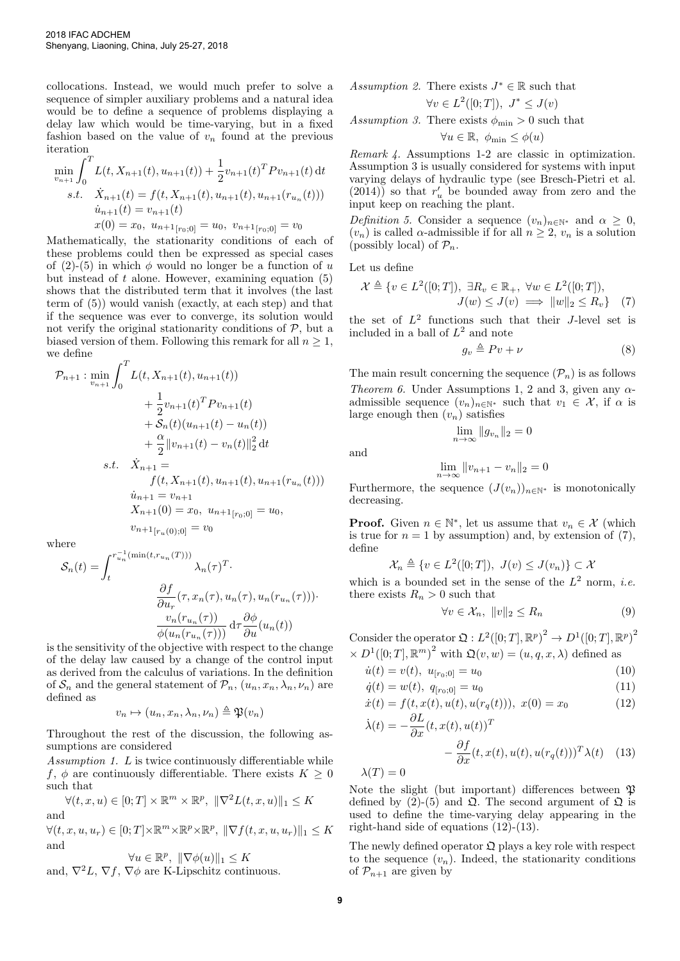collocations. Instead, we would much prefer to solve a sequence of simpler auxiliary problems and a natural idea would be to define a sequence of problems displaying a delay law which would be time-varying, but in a fixed fashion based on the value of  $v_n$  found at the previous iteration

$$
\min_{v_{n+1}} \int_0^T L(t, X_{n+1}(t), u_{n+1}(t)) + \frac{1}{2} v_{n+1}(t)^T P v_{n+1}(t) dt
$$
\n*s.t.*\n
$$
\dot{X}_{n+1}(t) = f(t, X_{n+1}(t), u_{n+1}(t), u_{n+1}(r_{u_n}(t)))
$$
\n
$$
\dot{u}_{n+1}(t) = v_{n+1}(t)
$$
\n
$$
x(0) = x_0, u_{n+1}[r_0; 0] = u_0, v_{n+1}[r_0; 0] = v_0
$$

Mathematically, the stationarity conditions of each of these problems could then be expressed as special cases of (2)-(5) in which  $\phi$  would no longer be a function of u but instead of  $t$  alone. However, examining equation  $(5)$ shows that the distributed term that it involves (the last term of (5)) would vanish (exactly, at each step) and that if the sequence was ever to converge, its solution would not verify the original stationarity conditions of  $P$ , but a biased version of them. Following this remark for all  $n \geq 1$ , we define

$$
\mathcal{P}_{n+1} : \min_{v_{n+1}} \int_0^T L(t, X_{n+1}(t), u_{n+1}(t))
$$
  
+  $\frac{1}{2} v_{n+1}(t)^T P v_{n+1}(t)$   
+  $\mathcal{S}_n(t) (u_{n+1}(t) - u_n(t))$   
+  $\frac{\alpha}{2} ||v_{n+1}(t) - v_n(t)||_2^2 dt$   
s.t.  $\dot{X}_{n+1} = f(t, X_{n+1}(t), u_{n+1}(t), u_{n+1}(r_{u_n}(t)))$   
 $\dot{u}_{n+1} = v_{n+1}$   
 $X_{n+1}(0) = x_0, u_{n+1}_{[r_0;0]} = u_0,$   
 $v_{n+1}_{[r_u(0);0]} = v_0$ 

where

$$
S_n(t) = \int_t^{r_{u_n}^{-1}(\min(t, r_{u_n}(T)))} \lambda_n(\tau)^T.
$$

$$
\frac{\partial f}{\partial u_r}(\tau, x_n(\tau), u_n(\tau), u_n(r_{u_n}(\tau))).
$$

$$
\frac{v_n(r_{u_n}(\tau))}{\phi(u_n(r_{u_n}(\tau)))} d\tau \frac{\partial \phi}{\partial u}(u_n(t))
$$

is the sensitivity of the objective with respect to the change of the delay law caused by a change of the control input as derived from the calculus of variations. In the definition of  $S_n$  and the general statement of  $\mathcal{P}_n$ ,  $(u_n, x_n, \lambda_n, \nu_n)$  are defined as

$$
v_n \mapsto (u_n, x_n, \lambda_n, \nu_n) \triangleq \mathfrak{P}(v_n)
$$

Throughout the rest of the discussion, the following assumptions are considered

Assumption 1. L is twice continuously differentiable while f,  $\phi$  are continuously differentiable. There exists  $K \geq 0$ such that

$$
\forall (t, x, u) \in [0; T] \times \mathbb{R}^m \times \mathbb{R}^p, \ ||\nabla^2 L(t, x, u)||_1 \le K
$$
 and

 $\forall (t, x, u, u_r) \in [0; T] \times \mathbb{R}^m \times \mathbb{R}^p \times \mathbb{R}^p, \ \|\nabla f(t, x, u, u_r)\|_1 \leq K$ and

$$
\forall u \in \mathbb{R}^p, \ \|\nabla \phi(u)\|_1 \le K
$$

and,  $\nabla^2 L$ ,  $\nabla f$ ,  $\nabla \phi$  are K-Lipschitz continuous.

Assumption 2. There exists 
$$
J^* \in \mathbb{R}
$$
 such that  
 $\forall v \in L^2([0;T]), J^* \leq J(v)$ 

Assumption 3. There exists  $\phi_{\min} > 0$  such that

$$
\forall u \in \mathbb{R}, \ \phi_{\min} \le \phi(u)
$$

Remark 4. Assumptions 1-2 are classic in optimization. Assumption 3 is usually considered for systems with input varying delays of hydraulic type (see Bresch-Pietri et al.  $(2014)$  so that  $r'_u$  be bounded away from zero and the input keep on reaching the plant.

Definition 5. Consider a sequence  $(v_n)_{n\in\mathbb{N}^*}$  and  $\alpha \geq 0$ ,  $(v_n)$  is called  $\alpha$ -admissible if for all  $n \geq 2$ ,  $v_n$  is a solution (possibly local) of  $\mathcal{P}_n$ .

Let us define

$$
\mathcal{X} \triangleq \{ v \in L^2([0;T]), \ \exists R_v \in \mathbb{R}_+, \ \forall w \in L^2([0;T]),J(w) \le J(v) \implies ||w||_2 \le R_v \} \quad (7)
$$

the set of  $L^2$  functions such that their J-level set is included in a ball of  $L^2$  and note

$$
g_v \triangleq Pv + \nu \tag{8}
$$

The main result concerning the sequence  $(\mathcal{P}_n)$  is as follows Theorem 6. Under Assumptions 1, 2 and 3, given any  $\alpha$ admissible sequence  $(v_n)_{n\in\mathbb{N}^*}$  such that  $v_1 \in \mathcal{X}$ , if  $\alpha$  is large enough then  $(v_n)$  satisfies

and

$$
\lim_{n \to \infty} ||v_{n+1} - v_n||_2 = 0
$$

 $\lim_{n\to\infty} \|g_{v_n}\|_2 = 0$ 

Furthermore, the sequence  $(J(v_n))_{n\in\mathbb{N}^*}$  is monotonically decreasing.

**Proof.** Given  $n \in \mathbb{N}^*$ , let us assume that  $v_n \in \mathcal{X}$  (which is true for  $n = 1$  by assumption) and, by extension of (7), define

$$
\mathcal{X}_n \triangleq \{ v \in L^2([0;T]), \ J(v) \le J(v_n) \} \subset \mathcal{X}
$$

which is a bounded set in the sense of the  $L^2$  norm, *i.e.* there exists  $R_n > 0$  such that

$$
\forall v \in \mathcal{X}_n, \ \|v\|_2 \le R_n \tag{9}
$$

Consider the operator  $\mathfrak{Q}: L^2([0;T], \mathbb{R}^p)^2 \to D^1([0;T], \mathbb{R}^p)^2$  $\times D^{1}([0; T], \mathbb{R}^{m})^{2}$  with  $\mathfrak{Q}(v, w) = (u, q, x, \lambda)$  defined as

$$
\dot{u}(t) = v(t), \ u_{[r_0;0]} = u_0 \tag{10}
$$

$$
\dot{q}(t) = w(t), \ q_{[r_0;0]} = u_0 \tag{11}
$$

$$
\dot{x}(t) = f(t, x(t), u(t), u(r_q(t))), \ x(0) = x_0 \tag{12}
$$

$$
\dot{\lambda}(t) = -\frac{\partial L}{\partial x}(t, x(t), u(t))^T - \frac{\partial f}{\partial x}(t, x(t), u(t), u(r_q(t)))^T \lambda(t) \quad (13)
$$

$$
\lambda(T) = 0
$$

Note the slight (but important) differences between  $\mathfrak P$ defined by (2)-(5) and  $\mathfrak{Q}$ . The second argument of  $\mathfrak{Q}$  is used to define the time-varying delay appearing in the right-hand side of equations (12)-(13).

The newly defined operator  $\mathfrak Q$  plays a key role with respect to the sequence  $(v_n)$ . Indeed, the stationarity conditions of  $\mathcal{P}_{n+1}$  are given by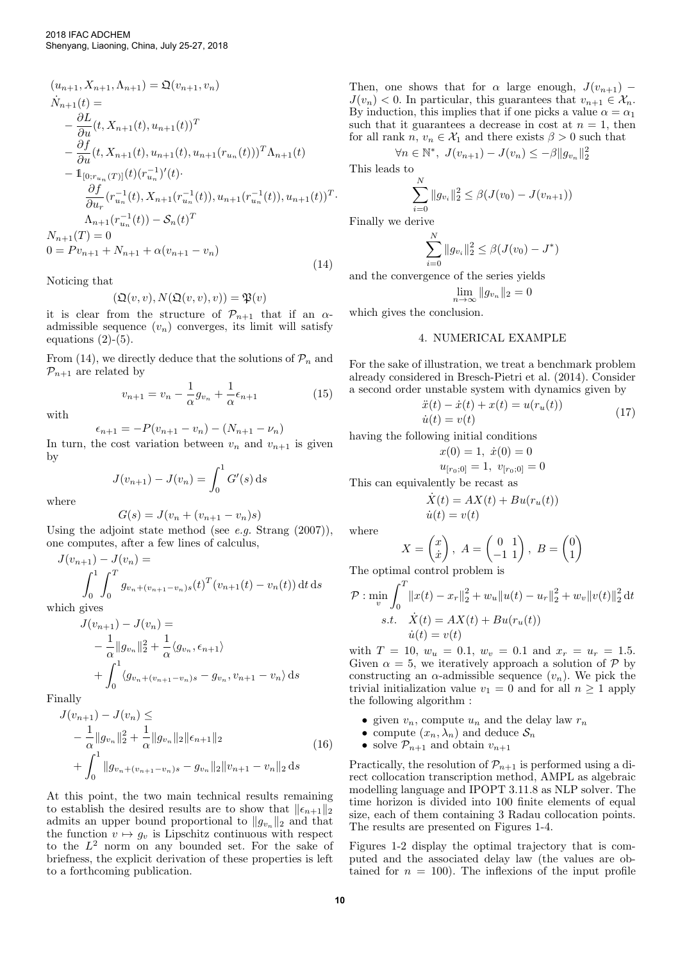$$
(u_{n+1}, X_{n+1}, \Lambda_{n+1}) = \mathfrak{Q}(v_{n+1}, v_n)
$$
  
\n
$$
\dot{N}_{n+1}(t) =
$$
\n
$$
-\frac{\partial L}{\partial u}(t, X_{n+1}(t), u_{n+1}(t))^T
$$
\n
$$
-\frac{\partial f}{\partial u}(t, X_{n+1}(t), u_{n+1}(t), u_{n+1}(r_{u_n}(t)))^T \Lambda_{n+1}(t)
$$
\n
$$
-1_{[0; r_{u_n}(T)]}(t)(r_{u_n}^{-1})'(t).
$$
\n
$$
\frac{\partial f}{\partial u_r}(r_{u_n}^{-1}(t), X_{n+1}(r_{u_n}^{-1}(t)), u_{n+1}(r_{u_n}^{-1}(t)), u_{n+1}(t))^T
$$
\n
$$
\Lambda_{n+1}(r_{u_n}^{-1}(t)) - \mathcal{S}_n(t)^T
$$
\n
$$
N_{n+1}(T) = 0
$$
\n
$$
0 = Pv_{n+1} + N_{n+1} + \alpha(v_{n+1} - v_n)
$$
\n(14)

Noticing that

$$
(\mathfrak{Q}(v,v),N(\mathfrak{Q}(v,v),v))=\mathfrak{P}(v)
$$

it is clear from the structure of  $\mathcal{P}_{n+1}$  that if an  $\alpha$ admissible sequence  $(v_n)$  converges, its limit will satisfy equations  $(2)-(5)$ .

From (14), we directly deduce that the solutions of  $\mathcal{P}_n$  and  $\mathcal{P}_{n+1}$  are related by

$$
v_{n+1} = v_n - \frac{1}{\alpha} g_{v_n} + \frac{1}{\alpha} \epsilon_{n+1}
$$
 (15)

with

$$
\epsilon_{n+1} = -P(v_{n+1} - v_n) - (N_{n+1} - \nu_n)
$$

In turn, the cost variation between  $v_n$  and  $v_{n+1}$  is given by

$$
J(v_{n+1}) - J(v_n) = \int_0^1 G'(s) \, ds
$$

where

$$
G(s) = J(v_n + (v_{n+1} - v_n)s)
$$

Using the adjoint state method (see *e.g.* Strang  $(2007)$ ), one computes, after a few lines of calculus,

$$
J(v_{n+1}) - J(v_n) =
$$
  

$$
\int_0^1 \int_0^T g_{v_n + (v_{n+1} - v_n)s}(t)^T (v_{n+1}(t) - v_n(t)) dt ds
$$

which gives

$$
J(v_{n+1}) - J(v_n) =
$$
  
\n
$$
- \frac{1}{\alpha} ||g_{v_n}||_2^2 + \frac{1}{\alpha} \langle g_{v_n}, \epsilon_{n+1} \rangle
$$
  
\n
$$
+ \int_0^1 \langle g_{v_n + (v_{n+1} - v_n)s} - g_{v_n}, v_{n+1} - v_n \rangle ds
$$

Finally

$$
J(v_{n+1}) - J(v_n) \le
$$
  
\n
$$
- \frac{1}{\alpha} \|g_{v_n}\|_2^2 + \frac{1}{\alpha} \|g_{v_n}\|_2 \|\epsilon_{n+1}\|_2
$$
  
\n
$$
+ \int_0^1 \|g_{v_n + (v_{n+1} - v_n)s} - g_{v_n}\|_2 \|v_{n+1} - v_n\|_2 ds
$$
\n(16)

At this point, the two main technical results remaining to establish the desired results are to show that  $\|\epsilon_{n+1}\|_2$ admits an upper bound proportional to  $||g_{v_n}||_2$  and that the function  $v \mapsto g_v$  is Lipschitz continuous with respect to the  $L^2$  norm on any bounded set. For the sake of briefness, the explicit derivation of these properties is left to a forthcoming publication.

Then, one shows that for  $\alpha$  large enough,  $J(v_{n+1})$  –  $J(v_n) < 0$ . In particular, this guarantees that  $v_{n+1} \in \mathcal{X}_n$ . By induction, this implies that if one picks a value  $\alpha = \alpha_1$ such that it guarantees a decrease in cost at  $n = 1$ , then for all rank  $n, v_n \in \mathcal{X}_1$  and there exists  $\beta > 0$  such that

$$
\forall n \in \mathbb{N}^*, \ J(v_{n+1}) - J(v_n) \le -\beta \|g_{v_n}\|_2^2
$$

This leads to

·

$$
\sum_{i=0}^{N} ||g_{v_i}||_2^2 \leq \beta (J(v_0) - J(v_{n+1}))
$$

Finally we derive

$$
\sum_{i=0}^{N} \|g_{v_i}\|_2^2 \leq \beta(J(v_0) - J^*)
$$

and the convergence of the series yields

$$
\lim_{n \to \infty} \|g_{v_n}\|_2 = 0
$$

which gives the conclusion.

#### 4. NUMERICAL EXAMPLE

For the sake of illustration, we treat a benchmark problem already considered in Bresch-Pietri et al. (2014). Consider a second order unstable system with dynamics given by

$$
\ddot{x}(t) - \dot{x}(t) + x(t) = u(r_u(t)) \n\dot{u}(t) = v(t)
$$
\n(17)

having the following initial conditions

$$
x(0) = 1, \ \dot{x}(0) = 0
$$

$$
u_{[r_0;0]} = 1, \ v_{[r_0;0]} = 0
$$

This can equivalently be recast as

$$
\dot{X}(t) = AX(t) + Bu(r_u(t))
$$
  

$$
\dot{u}(t) = v(t)
$$

where

$$
X = \begin{pmatrix} x \\ \dot{x} \end{pmatrix}, A = \begin{pmatrix} 0 & 1 \\ -1 & 1 \end{pmatrix}, B = \begin{pmatrix} 0 \\ 1 \end{pmatrix}
$$

The optimal control problem is

$$
\mathcal{P}: \min_{v} \int_{0}^{T} ||x(t) - x_{r}||_{2}^{2} + w_{u}||u(t) - u_{r}||_{2}^{2} + w_{v}||v(t)||_{2}^{2} dt
$$
  
s.t.  $\dot{X}(t) = AX(t) + Bu(r_{u}(t))$   
 $\dot{u}(t) = v(t)$ 

with  $T = 10$ ,  $w_u = 0.1$ ,  $w_v = 0.1$  and  $x_r = u_r = 1.5$ . Given  $\alpha = 5$ , we iteratively approach a solution of P by constructing an  $\alpha$ -admissible sequence  $(v_n)$ . We pick the trivial initialization value  $v_1 = 0$  and for all  $n \geq 1$  apply the following algorithm :

- given  $v_n$ , compute  $u_n$  and the delay law  $r_n$
- compute  $(x_n, \lambda_n)$  and deduce  $\mathcal{S}_n$
- solve  $\mathcal{P}_{n+1}$  and obtain  $v_{n+1}$

Practically, the resolution of  $\mathcal{P}_{n+1}$  is performed using a direct collocation transcription method, AMPL as algebraic modelling language and IPOPT 3.11.8 as NLP solver. The time horizon is divided into 100 finite elements of equal size, each of them containing 3 Radau collocation points. The results are presented on Figures 1-4.

Figures 1-2 display the optimal trajectory that is computed and the associated delay law (the values are obtained for  $n = 100$ . The inflexions of the input profile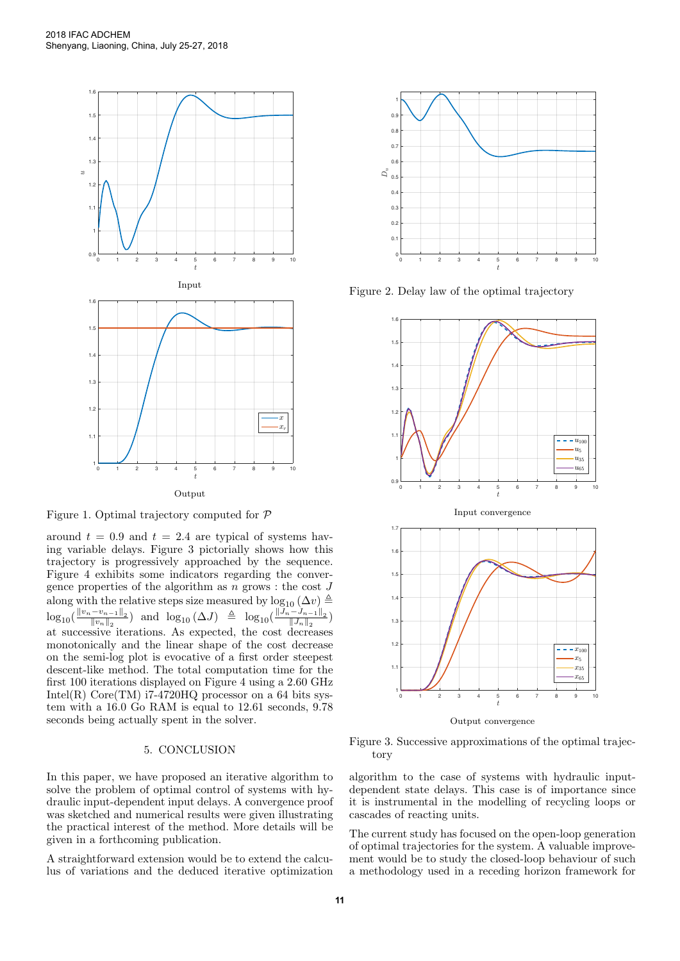

Figure 1. Optimal trajectory computed for P

around  $t = 0.9$  and  $t = 2.4$  are typical of systems having variable delays. Figure 3 pictorially shows how this trajectory is progressively approached by the sequence. Figure 4 exhibits some indicators regarding the convergence properties of the algorithm as  $n$  grows : the cost  $J$ along with the relative steps size measured by  $\log_{10} (\Delta v) \triangleq$  $\log_{10}(\frac{\|v_n-v_{n-1}\|_2}{\|v_n\|_2})$  $\frac{(-v_{n-1}||_2)}{||v_n||_2}$ ) and  $\log_{10}(\Delta J) \triangleq \log_{10}(\frac{||J_n-J_{n-1}||_2}{||J_n||_2})$  $\frac{(-J_{n-1}||_2}{||J_n||_2}\right)$ at successive iterations. As expected, the cost decreases monotonically and the linear shape of the cost decrease on the semi-log plot is evocative of a first order steepest descent-like method. The total computation time for the first 100 iterations displayed on Figure 4 using a 2.60 GHz Intel(R)  $Core(TM)$  i7-4720HQ processor on a 64 bits system with a 16.0 Go RAM is equal to 12.61 seconds, 9.78 seconds being actually spent in the solver.

## 5. CONCLUSION

In this paper, we have proposed an iterative algorithm to solve the problem of optimal control of systems with hydraulic input-dependent input delays. A convergence proof was sketched and numerical results were given illustrating the practical interest of the method. More details will be given in a forthcoming publication.

A straightforward extension would be to extend the calculus of variations and the deduced iterative optimization



Figure 2. Delay law of the optimal trajectory



Output convergence

Figure 3. Successive approximations of the optimal trajectory

algorithm to the case of systems with hydraulic inputdependent state delays. This case is of importance since it is instrumental in the modelling of recycling loops or cascades of reacting units.

The current study has focused on the open-loop generation of optimal trajectories for the system. A valuable improvement would be to study the closed-loop behaviour of such a methodology used in a receding horizon framework for